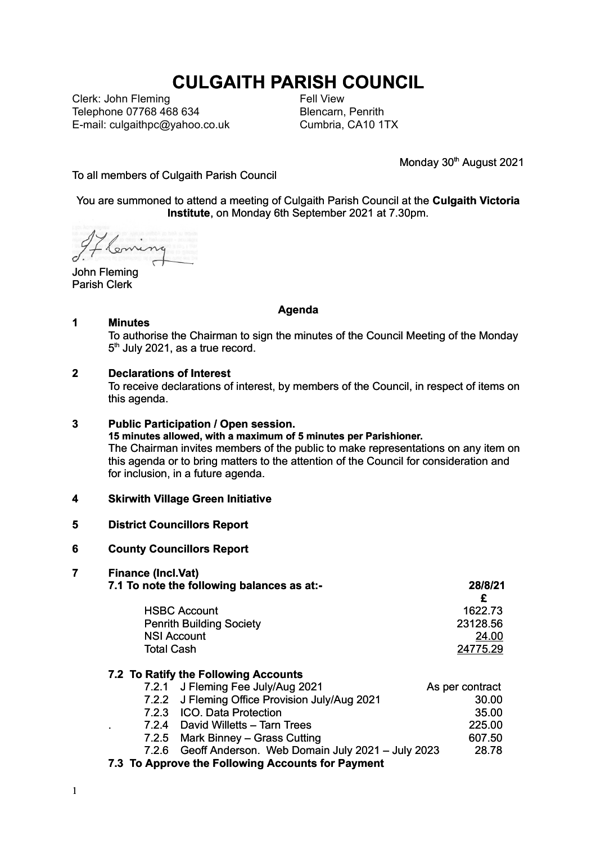# **CULGAITH PARISH COUNCIL**

Clerk: John Fleming Telephone 07768 468 634 E-mail: culgaithpc@yahoo.co.uk Fell View Blencarn, Penrith Cumbria, CA10 1TX

Monday 30<sup>th</sup> August 2021

#### To all members of Culgaith Parish Council

#### You are summoned to attend a meeting of Culgaith Parish Council at the **Culgaith Victoria Institute**, on Monday 6th September 2021 at 7.30pm.

John Fleming Parish Clerk

#### **Agenda**

#### **1 Minutes**

To authorise the Chairman to sign the minutes of the Council Meeting of the Monday 5<sup>th</sup> July 2021, as a true record.

#### **2 Declarations of Interest**

To receive declarations of interest, by members of the Council, in respect of items on this agenda.

## **3 Public Participation / Open session.**

**15 minutes allowed, with a maximum of 5 minutes per Parishioner.** The Chairman invites members of the public to make representations on any item on this agenda or to bring matters to the attention of the Council for consideration and for inclusion, in a future agenda.

#### **4 Skirwith Village Green Initiative**

#### **5 District Councillors Report**

#### **6 County Councillors Report**

#### **7 Finance (Incl.Vat)**

| 7.1 To note the following balances as at:- |                                                | 28/8/21         |  |
|--------------------------------------------|------------------------------------------------|-----------------|--|
|                                            |                                                |                 |  |
| <b>HSBC Account</b>                        |                                                | 1622.73         |  |
| <b>Penrith Building Society</b>            |                                                | 23128.56        |  |
| <b>NSI Account</b>                         |                                                | 24.00           |  |
| <b>Total Cash</b>                          |                                                | 24775.29        |  |
|                                            | 7.2 To Ratify the Following Accounts           |                 |  |
|                                            | 7.2.1 J Fleming Fee July/Aug 2021              | As per contract |  |
|                                            | 7.2.2 J Fleming Office Provision July/Aug 2021 | 30.00           |  |

- 7.2.3 ICO. Data Protection 35.00
- . 7.2.4 David Willetts Tarn Trees 225.00
- 7.2.5 Mark Binney Grass Cutting 607.50
- 7.2.6 Geoff Anderson. Web Domain July 2021 July 2023 28.78
- **7.3 To Approve the Following Accounts for Payment**